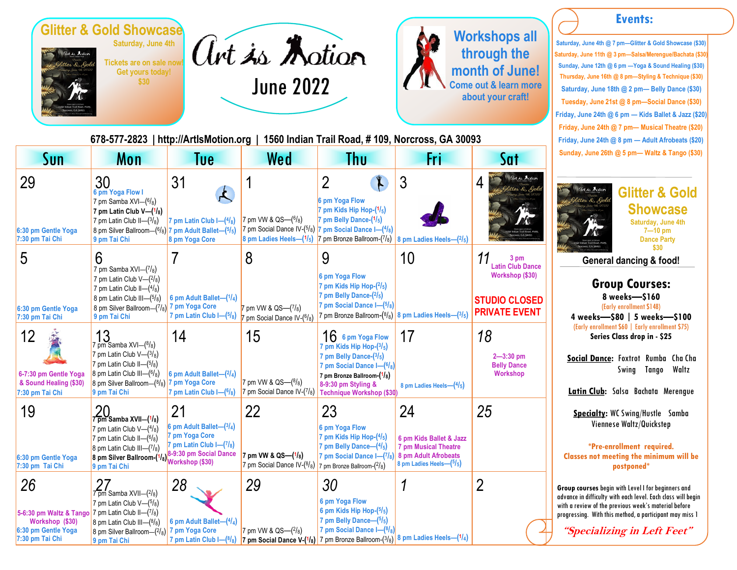

**Get yours today! \$30**



**678-577-2823 | http://ArtIsMotion.org | 1560 Indian Trail Road, # 109, Norcross, GA 30093**



#### **Events:**

**Saturday, June 4th @ 7 pm—Glitter & Gold Showcase (\$30) Saturday, June 11th @ 3 pm—Salsa/Merengue/Bachata (\$30) Sunday, June 12th @ 6 pm —Yoga & Sound Healing (\$30) Thursday, June 16th @ 8 pm—Styling & Technique (\$30) Saturday, June 18th @ 2 pm— Belly Dance (\$30) Tuesday, June 21st @ 8 pm—Social Dance (\$30) Friday, June 24th @ 6 pm — Kids Ballet & Jazz (\$20) Friday, June 24th @ 7 pm— Musical Theatre (\$20) Friday, June 24th @ 8 pm — Adult Afrobeats (\$20) Sunday, June 26th @ 5 pm— Waltz & Tango (\$30)** 

| Sun                                                                                                                 | <b>Mon</b>                                                                                                                                                                                                                                                            | Tue                                                                                                         | Wed                                                                                                      | <b>Thu</b>                                                                                                                                                                                  | Fri                                                                                                         | Sat                                                                                                | Sunday, June 26th @ 5 pm- Waltz & Tango (\$3                                                                                                                                                                                                                        |
|---------------------------------------------------------------------------------------------------------------------|-----------------------------------------------------------------------------------------------------------------------------------------------------------------------------------------------------------------------------------------------------------------------|-------------------------------------------------------------------------------------------------------------|----------------------------------------------------------------------------------------------------------|---------------------------------------------------------------------------------------------------------------------------------------------------------------------------------------------|-------------------------------------------------------------------------------------------------------------|----------------------------------------------------------------------------------------------------|---------------------------------------------------------------------------------------------------------------------------------------------------------------------------------------------------------------------------------------------------------------------|
| 29<br>6:30 pm Gentle Yoga<br>7:30 pm Tai Chi                                                                        | 30<br>6 pm Yoga Flow I<br>7 pm Samba $XVI-(6/8)$<br>7 pm Latin Club $V-(1/8)$<br>7 pm Latin Club II- $(3/8)$<br>8 pm Silver Ballroom- $(6/8)$ 7 pm Adult Ballet- $(5/5)$<br>9 pm Tai Chi                                                                              | 31<br>$\mathcal{A}$<br>7 pm Latin Club $I = (4/8)$<br>8 pm Yoga Core                                        | 7 pm VW & QS-(6/8)<br>7 pm Social Dance IV-(5/8) 7 pm Social Dance I-(4/8)<br>8 pm Ladies Heels-(1/5)    | $\overline{2}$<br>$\mathbf{r}$<br>6 pm Yoga Flow<br>7 pm Kids Hip Hop- $(1/5)$<br>7 pm Belly Dance-(1/5)<br>pm Bronze Ballroom- $(7/8)$ 8 pm Ladies Heels- $(2/5)$                          | $\mathfrak{Z}$                                                                                              | art is <i>Antion</i><br>4                                                                          | <b>Glitter &amp; Gold</b><br><b>Showcase</b><br>Saturday, June 4th<br>$7 - 10$ pm<br><b>Dance Party</b>                                                                                                                                                             |
| 5<br>6:30 pm Gentle Yoga<br>7:30 pm Tai Chi                                                                         | 6<br>7 pm Samba XVI- $(7/8)$<br>7 pm Latin Club $V-(2/8)$<br>7 pm Latin Club II- $(4/8)$<br>8 pm Latin Club III- $(5/8)$<br>8 pm Silver Ballroom-(7/8) 7 pm Yoga Core<br>9 pm Tai Chi                                                                                 | 6 pm Adult Ballet- $(1/4)$<br>7 pm Latin Club I-(5/8)                                                       | 8<br>7 pm VW & QS-(7/8)<br>7 pm Social Dance IV-(6/8)                                                    | 9<br>6 pm Yoga Flow<br>7 pm Kids Hip Hop- $(2/5)$<br>7 pm Belly Dance- $(2/5)$<br>7 pm Social Dance $I = (5/8)$<br>7 pm Bronze Ballroom-(8/8) 8 pm Ladies Heels-(3/5)                       | 10                                                                                                          | 3 pm<br><b>Latin Club Dance</b><br>Workshop (\$30)<br><b>STUDIO CLOSED</b><br><b>PRIVATE EVENT</b> | \$30<br><b>General dancing &amp; food!</b><br><b>Group Courses:</b><br>8 weeks-\$160<br>(Early enrollment \$148)<br>4 weeks-\$80   5 weeks-\$100                                                                                                                    |
| 12<br>6-7:30 pm Gentle Yoga<br>& Sound Healing (\$30)<br>7:30 pm Tai Chi                                            | 13<br>pm Samba XVI-(8/8)<br>7 pm Latin Club $V-(3/8)$<br>7 pm Latin Club II-(5/8)<br>8 pm Latin Club III- $(6/8)$<br>8 pm Silver Ballroom-(8/8) 7 pm Yoga Core<br>9 pm Tai Chi                                                                                        | 14<br>6 pm Adult Ballet-(2/4)<br>7 pm Latin Club $I = (\frac{6}{8})$                                        | 15<br>7 pm VW & QS-(8/8)<br>7 pm Social Dance IV- $(7/8)$                                                | $16$ 6 pm Yoga Flow<br>7 pm Kids Hip Hop-(3/5)<br>7 pm Belly Dance-(3/5)<br>7 pm Social Dance $I = (6/8)$<br>7 pm Bronze Ballroom-(1/8)<br>8-9:30 pm Styling &<br>Technique Workshop (\$30) | 17<br>8 pm Ladies Heels- $(4/5)$                                                                            | 18<br>$2 - 3:30$ pm<br><b>Belly Dance</b><br>Workshop                                              | (Early enrollment \$60   Early enrollment \$75)<br>Series Class drop in - \$25<br>Social Dance: Foxtrot Rumba Cha Cha<br>Swing Tango<br>Waltz<br>Latin Club: Salsa Bachata Merengue                                                                                 |
| 19<br>6:30 pm Gentle Yoga<br>7:30 pm Tai Chi                                                                        | 20<br>7 <del>pm</del> Samba XVII—(1/8)<br>7 pm Latin Club $V-(4/8)$<br>7 pm Latin Club II- $(6/8)$<br>8 pm Latin Club III- $(7/8)$<br>8 pm Silver Ballroom (1/ <sub>8)</sub>   <sup>0-5</sup> · <u>3V pm SSIVer Ballroom (1/8)</u><br>Workshop (\$30)<br>9 pm Tai Chi | 21<br>6 pm Adult Ballet- $(3/4)$<br>7 pm Yoga Core<br>7 pm Latin Club $I = (7/8)$<br>8-9:30 pm Social Dance | 22<br>7 pm VW & QS-(1/8)<br>7 pm Social Dance IV- $(^{8}/_{8})$                                          | 23<br>6 pm Yoga Flow<br>7 pm Kids Hip Hop- $(4/5)$<br>7 pm Belly Dance— $(4/5)$<br>7 pm Social Dance I-(7/8)<br>7 pm Bronze Ballroom-(2/8)                                                  | 24<br>6 pm Kids Ballet & Jazz<br>7 pm Musical Theatre<br>8 pm Adult Afrobeats<br>8 pm Ladies Heels- $(5/5)$ | 25                                                                                                 | <b>Specialty:</b> WC Swing/Hustle Samba<br>Viennese Waltz/Quickstep<br>*Pre-enrollment required.<br><b>Classes not meeting the minimum will be</b><br>postponed*                                                                                                    |
| 26<br>5-6:30 pm Waltz & Tango 7 pm Latin Club II-(7/8)<br>Workshop (\$30)<br>6:30 pm Gentle Yoga<br>7:30 pm Tai Chi | $7$ pm Samba XVII- $(2/8)$<br>7 pm Latin Club $V-(5/8)$<br>8 pm Latin Club III- $(8/8)$<br>8 pm Silver Ballroom-(2/8)<br>9 pm Tai Chi                                                                                                                                 | 28<br>6 pm Adult Ballet- $(4/4)$<br>7 pm Yoga Core<br>7 pm Latin Club $I = \binom{8}{8}$                    | 29<br>7 pm VW & QS-(2/8)<br>7 pm Social Dance V-(1/8) 7 pm Bronze Ballroom-(3/8) 8 pm Ladies Heels-(1/4) | 30<br>6 pm Yoga Flow<br>6 pm Kids Hip Hop- $(5/5)$<br>7 pm Belly Dance- $(5/5)$<br>7 pm Social Dance $I = \binom{8}{8}$                                                                     |                                                                                                             | $\overline{2}$                                                                                     | Group courses begin with Level I for beginners and<br>advance in difficulty with each level. Each class will begi<br>with a review of the previous week's material before<br>progressing. With this method, a participant may miss 1<br>"Specializing in Left Feet" |

**7 pm Social Dance V-( 1 /8)**